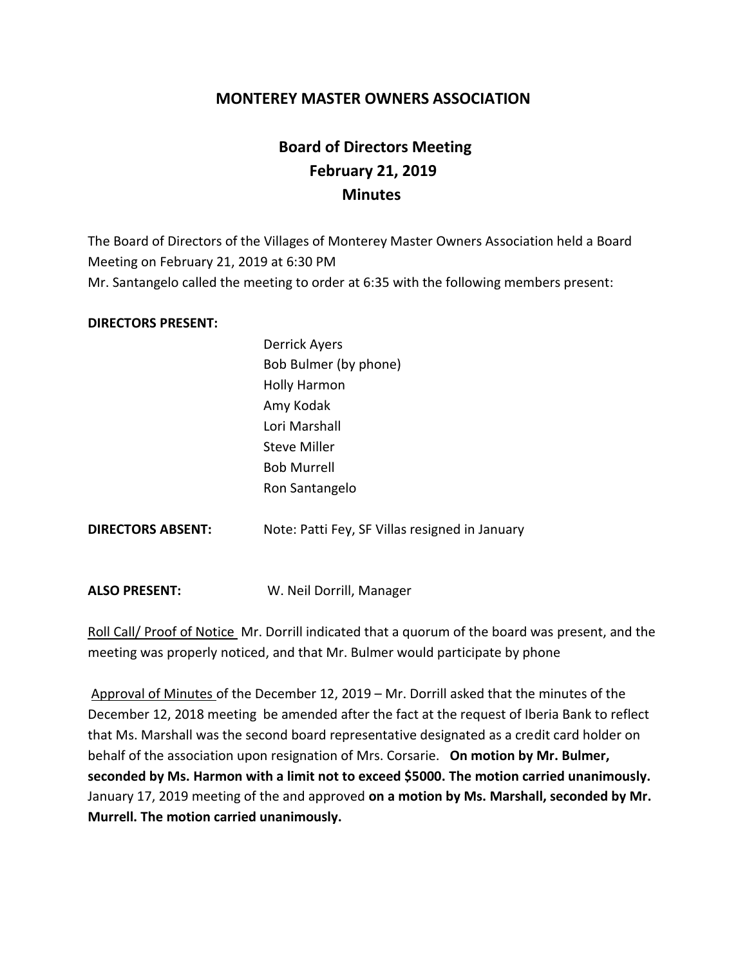### **MONTEREY MASTER OWNERS ASSOCIATION**

# **Board of Directors Meeting February 21, 2019 Minutes**

The Board of Directors of the Villages of Monterey Master Owners Association held a Board Meeting on February 21, 2019 at 6:30 PM Mr. Santangelo called the meeting to order at 6:35 with the following members present:

#### **DIRECTORS PRESENT:**

|                          | ----------                                     |
|--------------------------|------------------------------------------------|
|                          | Bob Bulmer (by phone)                          |
|                          | <b>Holly Harmon</b>                            |
|                          | Amy Kodak                                      |
|                          | Lori Marshall                                  |
|                          | <b>Steve Miller</b>                            |
|                          | <b>Bob Murrell</b>                             |
|                          | Ron Santangelo                                 |
| <b>DIRECTORS ABSENT:</b> | Note: Patti Fey, SF Villas resigned in January |
|                          |                                                |
|                          |                                                |

Derrick Ayers

**ALSO PRESENT:** W. Neil Dorrill, Manager

Roll Call/ Proof of Notice Mr. Dorrill indicated that a quorum of the board was present, and the meeting was properly noticed, and that Mr. Bulmer would participate by phone

Approval of Minutes of the December 12, 2019 – Mr. Dorrill asked that the minutes of the December 12, 2018 meeting be amended after the fact at the request of Iberia Bank to reflect that Ms. Marshall was the second board representative designated as a credit card holder on behalf of the association upon resignation of Mrs. Corsarie. **On motion by Mr. Bulmer, seconded by Ms. Harmon with a limit not to exceed \$5000. The motion carried unanimously.** January 17, 2019 meeting of the and approved **on a motion by Ms. Marshall, seconded by Mr. Murrell. The motion carried unanimously.**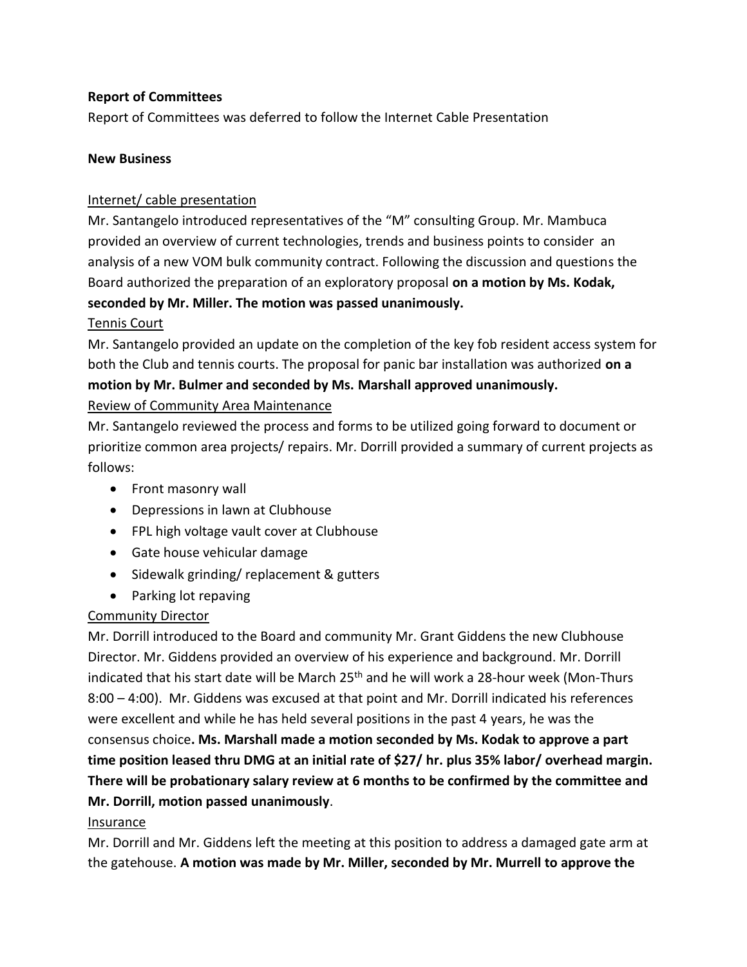#### **Report of Committees**

Report of Committees was deferred to follow the Internet Cable Presentation

#### **New Business**

#### Internet/ cable presentation

Mr. Santangelo introduced representatives of the "M" consulting Group. Mr. Mambuca provided an overview of current technologies, trends and business points to consider an analysis of a new VOM bulk community contract. Following the discussion and questions the Board authorized the preparation of an exploratory proposal **on a motion by Ms. Kodak, seconded by Mr. Miller. The motion was passed unanimously.**

#### Tennis Court

Mr. Santangelo provided an update on the completion of the key fob resident access system for both the Club and tennis courts. The proposal for panic bar installation was authorized **on a motion by Mr. Bulmer and seconded by Ms. Marshall approved unanimously.** Review of Community Area Maintenance

Mr. Santangelo reviewed the process and forms to be utilized going forward to document or prioritize common area projects/ repairs. Mr. Dorrill provided a summary of current projects as follows:

- Front masonry wall
- Depressions in lawn at Clubhouse
- FPL high voltage vault cover at Clubhouse
- Gate house vehicular damage
- Sidewalk grinding/ replacement & gutters
- Parking lot repaving

#### Community Director

Mr. Dorrill introduced to the Board and community Mr. Grant Giddens the new Clubhouse Director. Mr. Giddens provided an overview of his experience and background. Mr. Dorrill indicated that his start date will be March 25<sup>th</sup> and he will work a 28-hour week (Mon-Thurs 8:00 – 4:00). Mr. Giddens was excused at that point and Mr. Dorrill indicated his references were excellent and while he has held several positions in the past 4 years, he was the consensus choice**. Ms. Marshall made a motion seconded by Ms. Kodak to approve a part time position leased thru DMG at an initial rate of \$27/ hr. plus 35% labor/ overhead margin. There will be probationary salary review at 6 months to be confirmed by the committee and Mr. Dorrill, motion passed unanimously**.

#### Insurance

Mr. Dorrill and Mr. Giddens left the meeting at this position to address a damaged gate arm at the gatehouse. **A motion was made by Mr. Miller, seconded by Mr. Murrell to approve the**